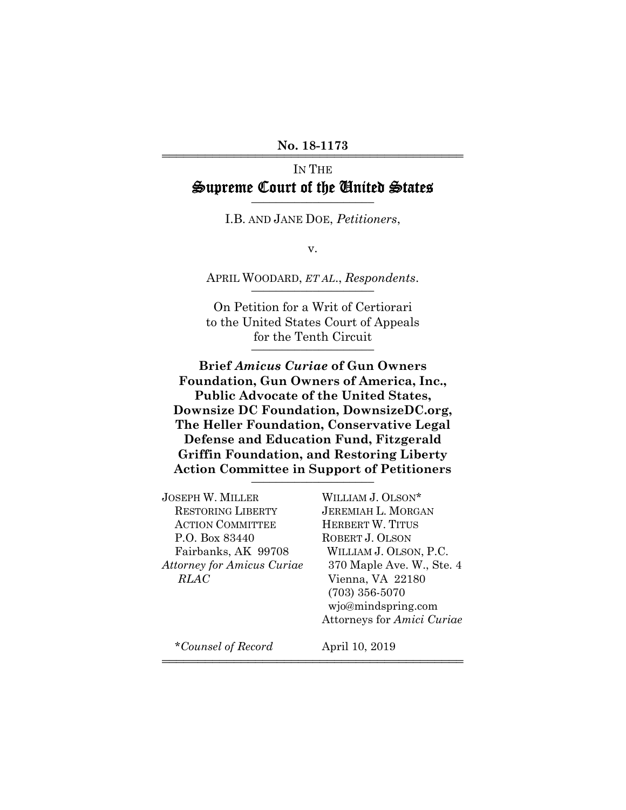#### No. 18-1173

# IN THE Supreme Court of the United States

I.B. AND JANE DOE, *Petitioners*,

v.

APRIL WOODARD, *ET AL.*, *Respondents.* 

On Petition for a Writ of Certiorari to the United States Court of Appeals for the Tenth Circuit

**Brief** *Amicus Curiae* **of Gun Owners Foundation, Gun Owners of America, Inc., Public Advocate of the United States, Downsize DC Foundation, DownsizeDC.org, The Heller Foundation, Conservative Legal Defense and Education Fund, Fitzgerald Griffin Foundation, and Restoring Liberty Action Committee in Support of Petitioners** \_\_\_\_\_\_\_\_\_\_\_\_\_\_\_\_\_\_\_\_

| WILLIAM J. OLSON*          |
|----------------------------|
| <b>JEREMIAH L. MORGAN</b>  |
| <b>HERBERT W. TITUS</b>    |
| ROBERT J. OLSON            |
| WILLIAM J. OLSON, P.C.     |
| 370 Maple Ave. W., Ste. 4  |
| Vienna, VA 22180           |
| $(703)$ 356-5070           |
| wjo@mindspring.com         |
| Attorneys for Amici Curiae |
| April 10, 2019             |
|                            |

444444444444444444444444444444444444444444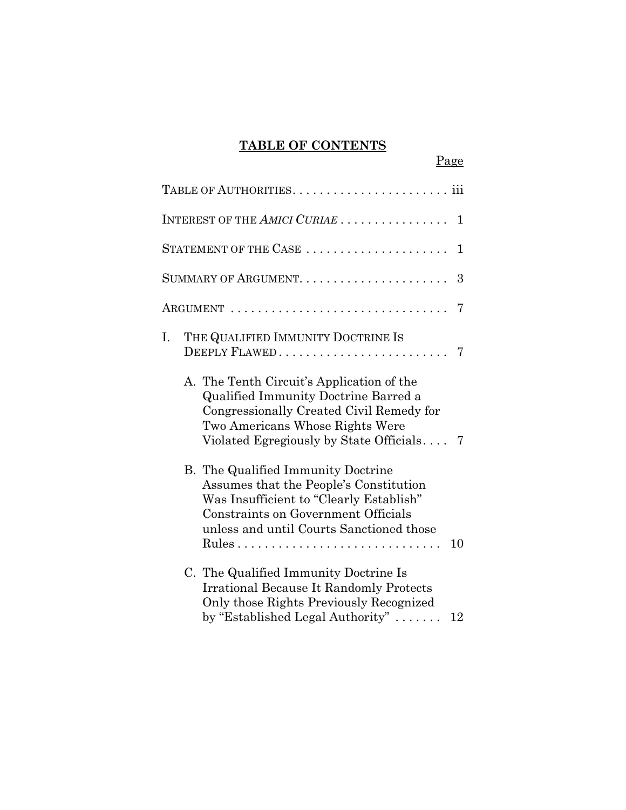## **TABLE OF CONTENTS**

Page

| INTEREST OF THE AMICI CURIAE<br>1                                                                                                                                                                                                              |
|------------------------------------------------------------------------------------------------------------------------------------------------------------------------------------------------------------------------------------------------|
| STATEMENT OF THE CASE<br>1                                                                                                                                                                                                                     |
| 3                                                                                                                                                                                                                                              |
| ARGUMENT<br>7                                                                                                                                                                                                                                  |
| Ι.<br>THE QUALIFIED IMMUNITY DOCTRINE IS<br>DEEPLY FLAWED<br>7                                                                                                                                                                                 |
| A. The Tenth Circuit's Application of the<br>Qualified Immunity Doctrine Barred a<br>Congressionally Created Civil Remedy for<br>Two Americans Whose Rights Were<br>Violated Egregiously by State Officials<br>7                               |
| B. The Qualified Immunity Doctrine<br>Assumes that the People's Constitution<br>Was Insufficient to "Clearly Establish"<br>Constraints on Government Officials<br>unless and until Courts Sanctioned those<br>10<br>$Rules \ldots \ldots$<br>. |
| C. The Qualified Immunity Doctrine Is<br><b>Irrational Because It Randomly Protects</b><br>Only those Rights Previously Recognized<br>by "Established Legal Authority" $\dots\dots$<br>12                                                      |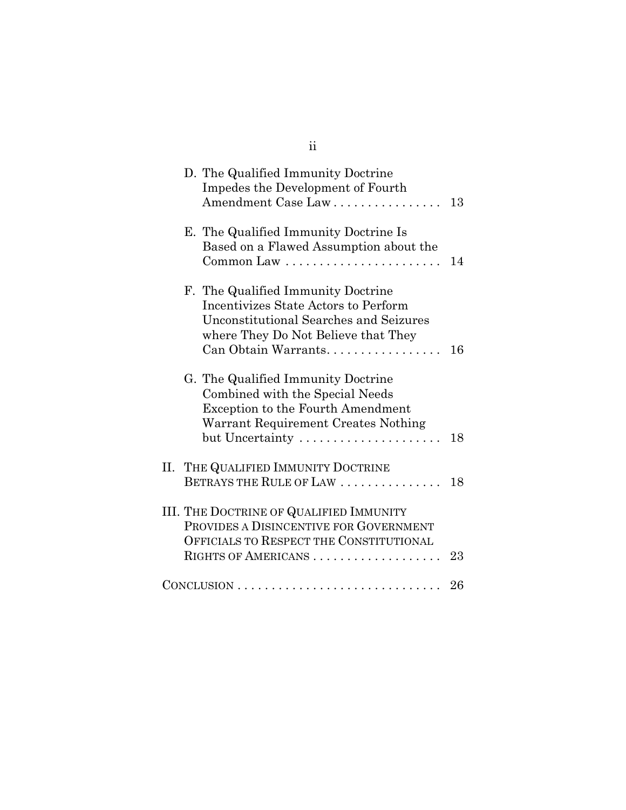|  | D. The Qualified Immunity Doctrine<br>Impedes the Development of Fourth<br>Amendment Case Law                                                                                                    | 13 |
|--|--------------------------------------------------------------------------------------------------------------------------------------------------------------------------------------------------|----|
|  | E. The Qualified Immunity Doctrine Is<br>Based on a Flawed Assumption about the                                                                                                                  | 14 |
|  | F. The Qualified Immunity Doctrine<br><b>Incentivizes State Actors to Perform</b><br><b>Unconstitutional Searches and Seizures</b><br>where They Do Not Believe that They<br>Can Obtain Warrants | 16 |
|  | G. The Qualified Immunity Doctrine<br>Combined with the Special Needs<br><b>Exception to the Fourth Amendment</b><br>Warrant Requirement Creates Nothing<br>but Uncertainty                      | 18 |
|  | II. THE QUALIFIED IMMUNITY DOCTRINE<br>BETRAYS THE RULE OF LAW                                                                                                                                   | 18 |
|  | III. THE DOCTRINE OF QUALIFIED IMMUNITY<br>PROVIDES A DISINCENTIVE FOR GOVERNMENT<br>OFFICIALS TO RESPECT THE CONSTITUTIONAL                                                                     | 23 |
|  | $CONCLUSION \ldots \ldots \ldots \ldots \ldots \ldots \ldots \ldots \ldots$                                                                                                                      | 26 |

ii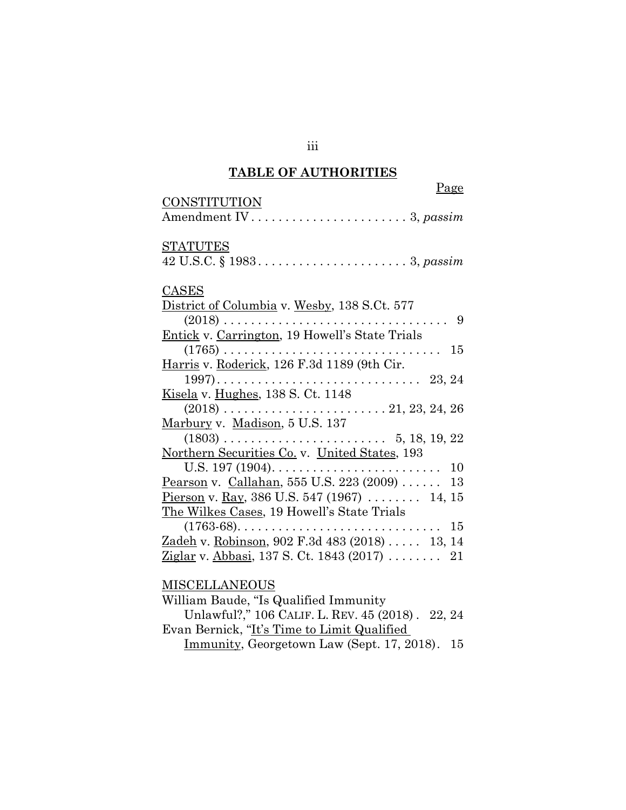## **TABLE OF AUTHORITIES**

| Page                                                                                                     |
|----------------------------------------------------------------------------------------------------------|
| CONSTITUTION                                                                                             |
|                                                                                                          |
| <u>STATUTES</u>                                                                                          |
| $42 \text{ U.S.C.} \S 1983 \ldots \ldots \ldots \ldots \ldots \ldots \ldots \ldots \ldots \ldots \ldots$ |
| CASES                                                                                                    |
| <u>District of Columbia</u> v. <u>Wesby</u> , 138 S.Ct. 577                                              |
| 9                                                                                                        |
| Entick v. Carrington, 19 Howell's State Trials                                                           |
| 15                                                                                                       |
| Harris v. Roderick, 126 F.3d 1189 (9th Cir.                                                              |
|                                                                                                          |
| <u>Kisela</u> v. <u>Hughes</u> , 138 S. Ct. 1148                                                         |
|                                                                                                          |
| <u>Marbury</u> v. <u>Madison,</u> 5 U.S. 137                                                             |
|                                                                                                          |
| Northern Securities Co. v. United States, 193                                                            |
|                                                                                                          |
| Pearson v. Callahan, 555 U.S. 223 (2009)  13                                                             |
| Pierson v. Ray, 386 U.S. 547 (1967)  14, 15                                                              |
| The Wilkes Cases, 19 Howell's State Trials                                                               |
|                                                                                                          |
| Zadeh v. Robinson, 902 F.3d 483 (2018)  13, 14                                                           |
| <u>Ziglar</u> v. <u>Abbasi</u> , 137 S. Ct. 1843 (2017)  21                                              |
|                                                                                                          |

## **MISCELLANEOUS**

William Baude, "Is Qualified Immunity Unlawful?," 106 CALIF. L. REV. 45 (2018) . 22, 24 Evan Bernick, "It's Time to Limit Qualified Immunity, Georgetown Law (Sept. 17, 2018). 15

iii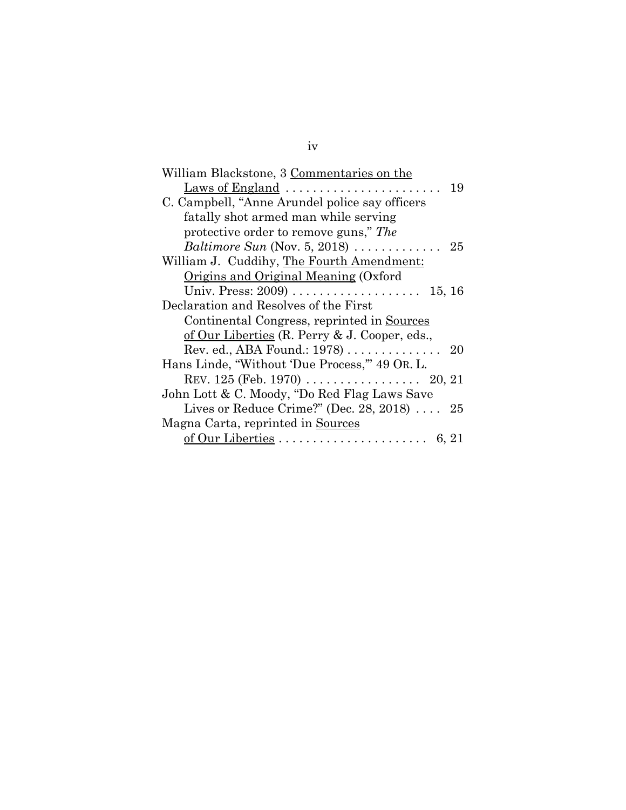| William Blackstone, 3 Commentaries on the                            |
|----------------------------------------------------------------------|
|                                                                      |
| C. Campbell, "Anne Arundel police say officers"                      |
| fatally shot armed man while serving                                 |
| protective order to remove guns," The                                |
| <i>Baltimore Sun</i> (Nov. 5, 2018) $\ldots \ldots \ldots \ldots$ 25 |
| William J. Cuddihy, The Fourth Amendment:                            |
| Origins and Original Meaning (Oxford                                 |
| 15, 16                                                               |
| Declaration and Resolves of the First                                |
| Continental Congress, reprinted in Sources                           |
| of Our Liberties (R. Perry & J. Cooper, eds.,                        |
| Rev. ed., ABA Found.: 1978)  20                                      |
| Hans Linde, "Without 'Due Process," 49 OR. L.                        |
| REV. 125 (Feb. 1970) $\ldots \ldots \ldots \ldots \ldots 20, 21$     |
| John Lott & C. Moody, "Do Red Flag Laws Save                         |
| Lives or Reduce Crime?" (Dec. 28, 2018) $\ldots$ 25                  |
| Magna Carta, reprinted in Sources                                    |
|                                                                      |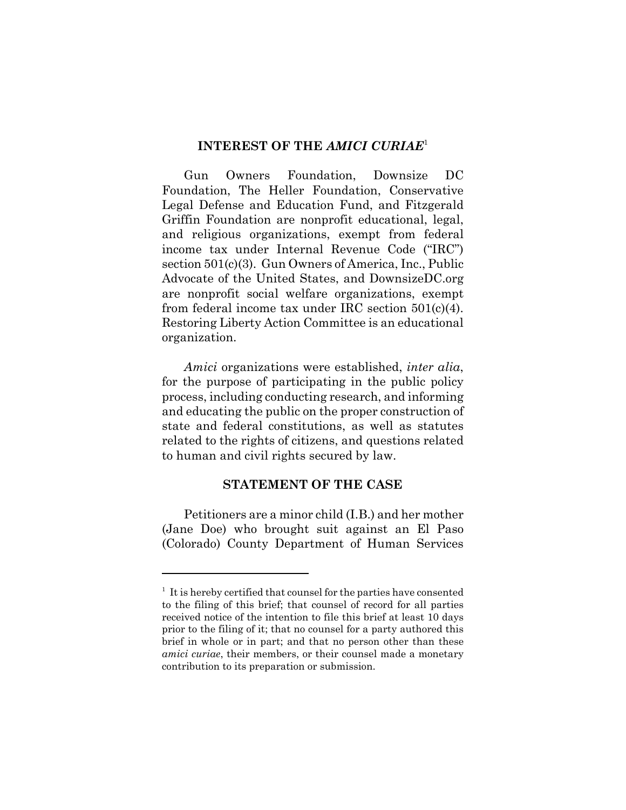#### **INTEREST OF THE** *AMICI CURIAE*<sup>1</sup>

Gun Owners Foundation, Downsize DC Foundation, The Heller Foundation, Conservative Legal Defense and Education Fund, and Fitzgerald Griffin Foundation are nonprofit educational, legal, and religious organizations, exempt from federal income tax under Internal Revenue Code ("IRC") section 501(c)(3). Gun Owners of America, Inc., Public Advocate of the United States, and DownsizeDC.org are nonprofit social welfare organizations, exempt from federal income tax under IRC section 501(c)(4). Restoring Liberty Action Committee is an educational organization.

*Amici* organizations were established, *inter alia*, for the purpose of participating in the public policy process, including conducting research, and informing and educating the public on the proper construction of state and federal constitutions, as well as statutes related to the rights of citizens, and questions related to human and civil rights secured by law.

#### **STATEMENT OF THE CASE**

Petitioners are a minor child (I.B.) and her mother (Jane Doe) who brought suit against an El Paso (Colorado) County Department of Human Services

<sup>&</sup>lt;sup>1</sup> It is hereby certified that counsel for the parties have consented to the filing of this brief; that counsel of record for all parties received notice of the intention to file this brief at least 10 days prior to the filing of it; that no counsel for a party authored this brief in whole or in part; and that no person other than these *amici curiae*, their members, or their counsel made a monetary contribution to its preparation or submission.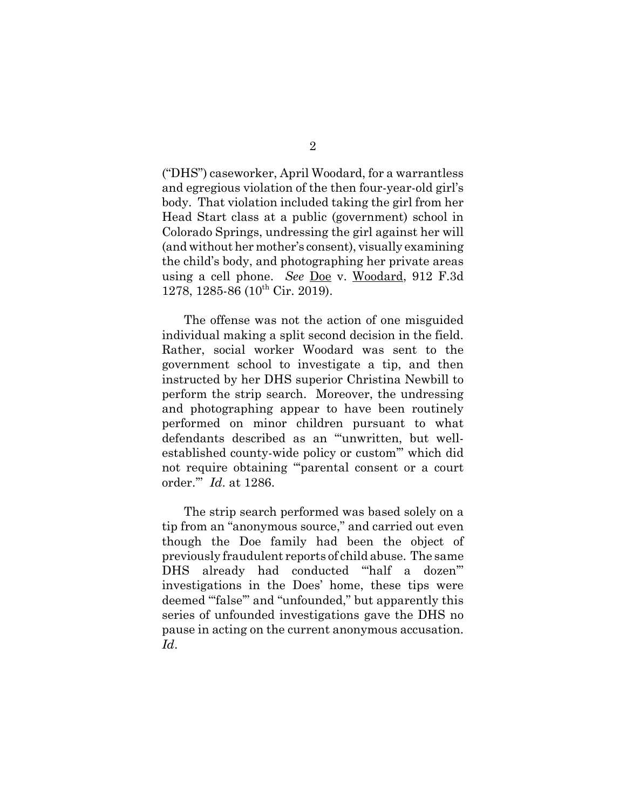("DHS") caseworker, April Woodard, for a warrantless and egregious violation of the then four-year-old girl's body. That violation included taking the girl from her Head Start class at a public (government) school in Colorado Springs, undressing the girl against her will (and without her mother's consent), visually examining the child's body, and photographing her private areas using a cell phone. *See* Doe v. Woodard, 912 F.3d 1278, 1285-86 (10<sup>th</sup> Cir. 2019).

The offense was not the action of one misguided individual making a split second decision in the field. Rather, social worker Woodard was sent to the government school to investigate a tip, and then instructed by her DHS superior Christina Newbill to perform the strip search. Moreover, the undressing and photographing appear to have been routinely performed on minor children pursuant to what defendants described as an "'unwritten, but wellestablished county-wide policy or custom'" which did not require obtaining "'parental consent or a court order.'" *Id*. at 1286.

The strip search performed was based solely on a tip from an "anonymous source," and carried out even though the Doe family had been the object of previously fraudulent reports of child abuse. The same DHS already had conducted "half a dozen" investigations in the Does' home, these tips were deemed "'false'" and "unfounded," but apparently this series of unfounded investigations gave the DHS no pause in acting on the current anonymous accusation. *Id*.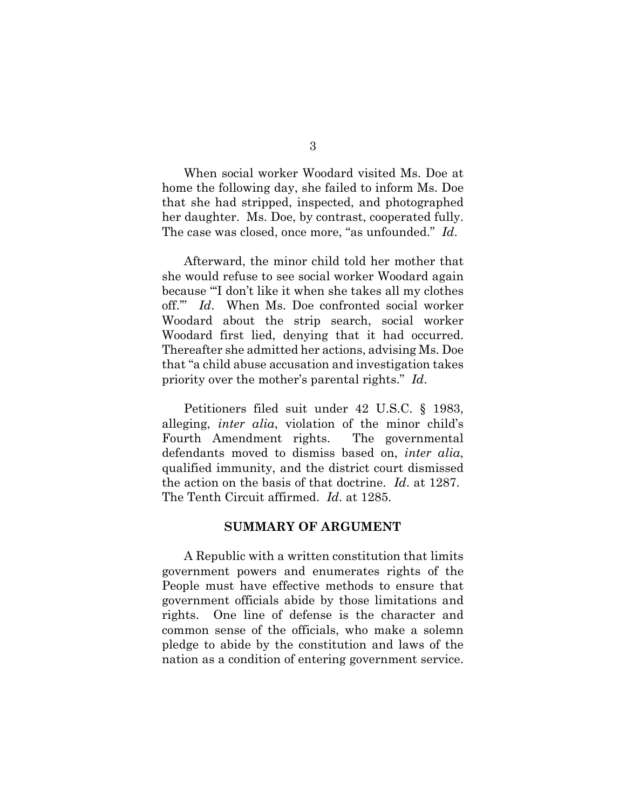When social worker Woodard visited Ms. Doe at home the following day, she failed to inform Ms. Doe that she had stripped, inspected, and photographed her daughter. Ms. Doe, by contrast, cooperated fully. The case was closed, once more, "as unfounded." *Id*.

Afterward, the minor child told her mother that she would refuse to see social worker Woodard again because "'I don't like it when she takes all my clothes off.'" *Id*. When Ms. Doe confronted social worker Woodard about the strip search, social worker Woodard first lied, denying that it had occurred. Thereafter she admitted her actions, advising Ms. Doe that "a child abuse accusation and investigation takes priority over the mother's parental rights." *Id*.

Petitioners filed suit under 42 U.S.C. § 1983, alleging, *inter alia*, violation of the minor child's Fourth Amendment rights. The governmental defendants moved to dismiss based on, *inter alia*, qualified immunity, and the district court dismissed the action on the basis of that doctrine. *Id*. at 1287. The Tenth Circuit affirmed. *Id*. at 1285.

#### **SUMMARY OF ARGUMENT**

A Republic with a written constitution that limits government powers and enumerates rights of the People must have effective methods to ensure that government officials abide by those limitations and rights. One line of defense is the character and common sense of the officials, who make a solemn pledge to abide by the constitution and laws of the nation as a condition of entering government service.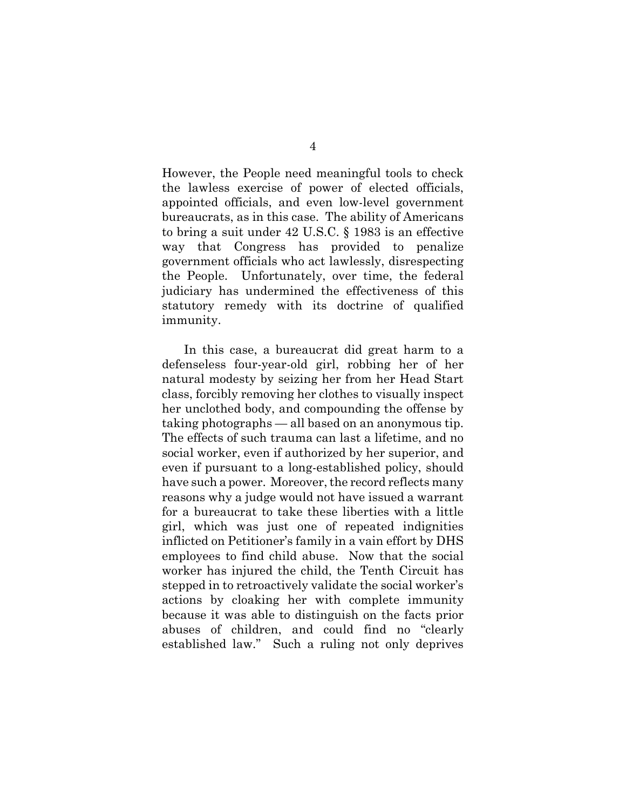However, the People need meaningful tools to check the lawless exercise of power of elected officials, appointed officials, and even low-level government bureaucrats, as in this case. The ability of Americans to bring a suit under 42 U.S.C. § 1983 is an effective way that Congress has provided to penalize government officials who act lawlessly, disrespecting the People. Unfortunately, over time, the federal judiciary has undermined the effectiveness of this statutory remedy with its doctrine of qualified immunity.

In this case, a bureaucrat did great harm to a defenseless four-year-old girl, robbing her of her natural modesty by seizing her from her Head Start class, forcibly removing her clothes to visually inspect her unclothed body, and compounding the offense by taking photographs — all based on an anonymous tip. The effects of such trauma can last a lifetime, and no social worker, even if authorized by her superior, and even if pursuant to a long-established policy, should have such a power. Moreover, the record reflects many reasons why a judge would not have issued a warrant for a bureaucrat to take these liberties with a little girl, which was just one of repeated indignities inflicted on Petitioner's family in a vain effort by DHS employees to find child abuse. Now that the social worker has injured the child, the Tenth Circuit has stepped in to retroactively validate the social worker's actions by cloaking her with complete immunity because it was able to distinguish on the facts prior abuses of children, and could find no "clearly established law." Such a ruling not only deprives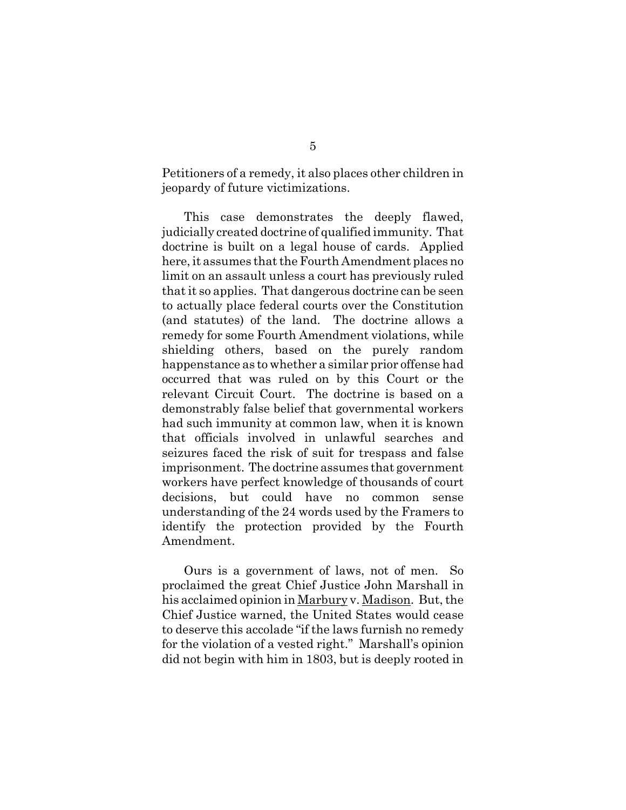Petitioners of a remedy, it also places other children in jeopardy of future victimizations.

This case demonstrates the deeply flawed, judicially created doctrine of qualified immunity. That doctrine is built on a legal house of cards. Applied here, it assumes that the Fourth Amendment places no limit on an assault unless a court has previously ruled that it so applies. That dangerous doctrine can be seen to actually place federal courts over the Constitution (and statutes) of the land. The doctrine allows a remedy for some Fourth Amendment violations, while shielding others, based on the purely random happenstance as to whether a similar prior offense had occurred that was ruled on by this Court or the relevant Circuit Court. The doctrine is based on a demonstrably false belief that governmental workers had such immunity at common law, when it is known that officials involved in unlawful searches and seizures faced the risk of suit for trespass and false imprisonment. The doctrine assumes that government workers have perfect knowledge of thousands of court decisions, but could have no common sense understanding of the 24 words used by the Framers to identify the protection provided by the Fourth Amendment.

Ours is a government of laws, not of men. So proclaimed the great Chief Justice John Marshall in his acclaimed opinion in Marbury v. Madison. But, the Chief Justice warned, the United States would cease to deserve this accolade "if the laws furnish no remedy for the violation of a vested right." Marshall's opinion did not begin with him in 1803, but is deeply rooted in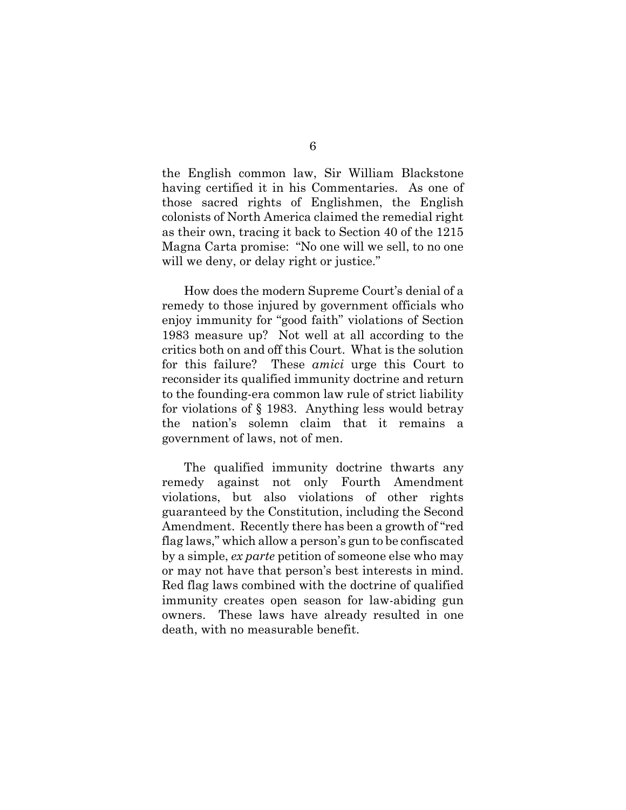the English common law, Sir William Blackstone having certified it in his Commentaries. As one of those sacred rights of Englishmen, the English colonists of North America claimed the remedial right as their own, tracing it back to Section 40 of the 1215 Magna Carta promise: "No one will we sell, to no one will we deny, or delay right or justice."

How does the modern Supreme Court's denial of a remedy to those injured by government officials who enjoy immunity for "good faith" violations of Section 1983 measure up? Not well at all according to the critics both on and off this Court. What is the solution for this failure? These *amici* urge this Court to reconsider its qualified immunity doctrine and return to the founding-era common law rule of strict liability for violations of § 1983. Anything less would betray the nation's solemn claim that it remains a government of laws, not of men.

The qualified immunity doctrine thwarts any remedy against not only Fourth Amendment violations, but also violations of other rights guaranteed by the Constitution, including the Second Amendment. Recently there has been a growth of "red flag laws," which allow a person's gun to be confiscated by a simple, *ex parte* petition of someone else who may or may not have that person's best interests in mind. Red flag laws combined with the doctrine of qualified immunity creates open season for law-abiding gun owners. These laws have already resulted in one death, with no measurable benefit.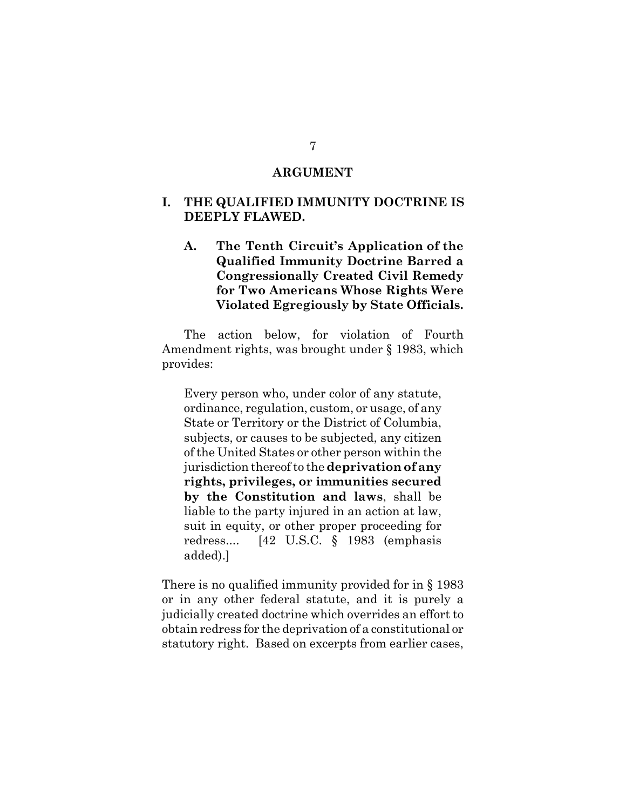#### **ARGUMENT**

## **I. THE QUALIFIED IMMUNITY DOCTRINE IS DEEPLY FLAWED.**

## **A. The Tenth Circuit's Application of the Qualified Immunity Doctrine Barred a Congressionally Created Civil Remedy for Two Americans Whose Rights Were Violated Egregiously by State Officials.**

The action below, for violation of Fourth Amendment rights, was brought under § 1983, which provides:

Every person who, under color of any statute, ordinance, regulation, custom, or usage, of any State or Territory or the District of Columbia, subjects, or causes to be subjected, any citizen of the United States or other person within the jurisdiction thereof to the **deprivation of any rights, privileges, or immunities secured by the Constitution and laws**, shall be liable to the party injured in an action at law, suit in equity, or other proper proceeding for redress.... [42 U.S.C. § 1983 (emphasis added).]

There is no qualified immunity provided for in § 1983 or in any other federal statute, and it is purely a judicially created doctrine which overrides an effort to obtain redress for the deprivation of a constitutional or statutory right. Based on excerpts from earlier cases,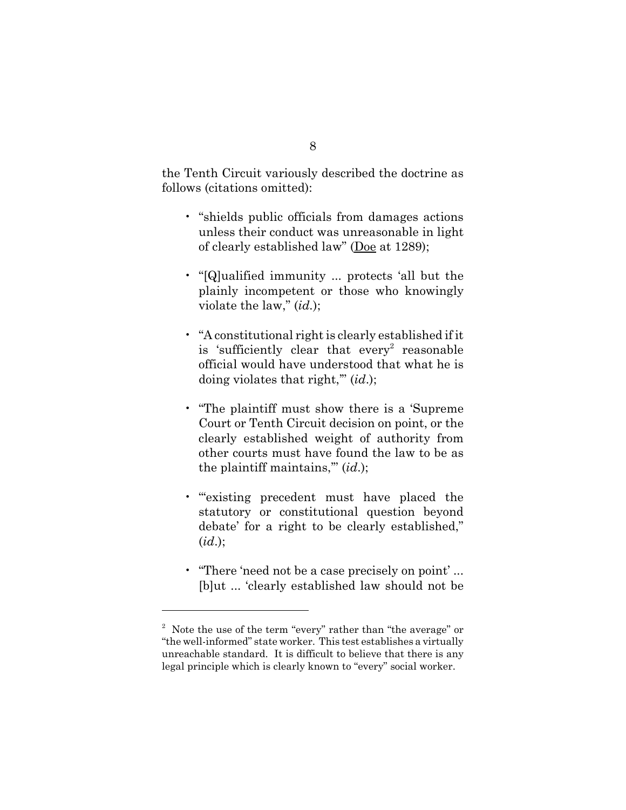the Tenth Circuit variously described the doctrine as follows (citations omitted):

- "shields public officials from damages actions unless their conduct was unreasonable in light of clearly established law" (Doe at 1289);
- "[Q]ualified immunity ... protects 'all but the plainly incompetent or those who knowingly violate the law," (*id.*);
- "A constitutional right is clearly established if it is 'sufficiently clear that every<sup>2</sup> reasonable official would have understood that what he is doing violates that right,'" (*id*.);
- "The plaintiff must show there is a 'Supreme Court or Tenth Circuit decision on point, or the clearly established weight of authority from other courts must have found the law to be as the plaintiff maintains,'" (*id*.);
- "existing precedent must have placed the statutory or constitutional question beyond debate' for a right to be clearly established," (*id*.);
- "There 'need not be a case precisely on point' ... [b]ut ... 'clearly established law should not be

<sup>&</sup>lt;sup>2</sup> Note the use of the term "every" rather than "the average" or "the well-informed" state worker. This test establishes a virtually unreachable standard. It is difficult to believe that there is any legal principle which is clearly known to "every" social worker.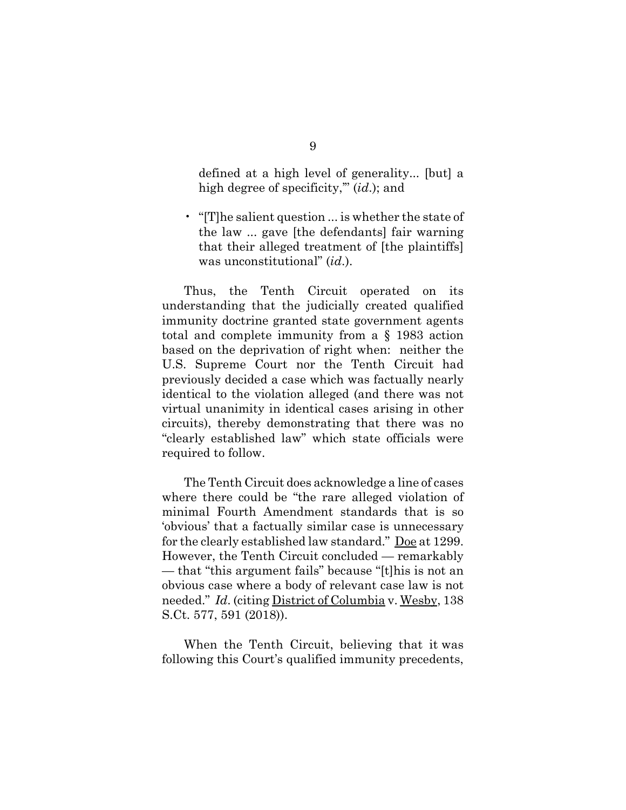defined at a high level of generality... [but] a high degree of specificity,'" (*id*.); and

• "[T]he salient question ... is whether the state of the law ... gave [the defendants] fair warning that their alleged treatment of [the plaintiffs] was unconstitutional" (*id*.).

Thus, the Tenth Circuit operated on its understanding that the judicially created qualified immunity doctrine granted state government agents total and complete immunity from a § 1983 action based on the deprivation of right when: neither the U.S. Supreme Court nor the Tenth Circuit had previously decided a case which was factually nearly identical to the violation alleged (and there was not virtual unanimity in identical cases arising in other circuits), thereby demonstrating that there was no "clearly established law" which state officials were required to follow.

The Tenth Circuit does acknowledge a line of cases where there could be "the rare alleged violation of minimal Fourth Amendment standards that is so 'obvious' that a factually similar case is unnecessary for the clearly established law standard." Doe at 1299. However, the Tenth Circuit concluded — remarkably — that "this argument fails" because "[t]his is not an obvious case where a body of relevant case law is not needed." *Id*. (citing District of Columbia v. Wesby, 138 S.Ct. 577, 591 (2018)).

 When the Tenth Circuit, believing that it was following this Court's qualified immunity precedents,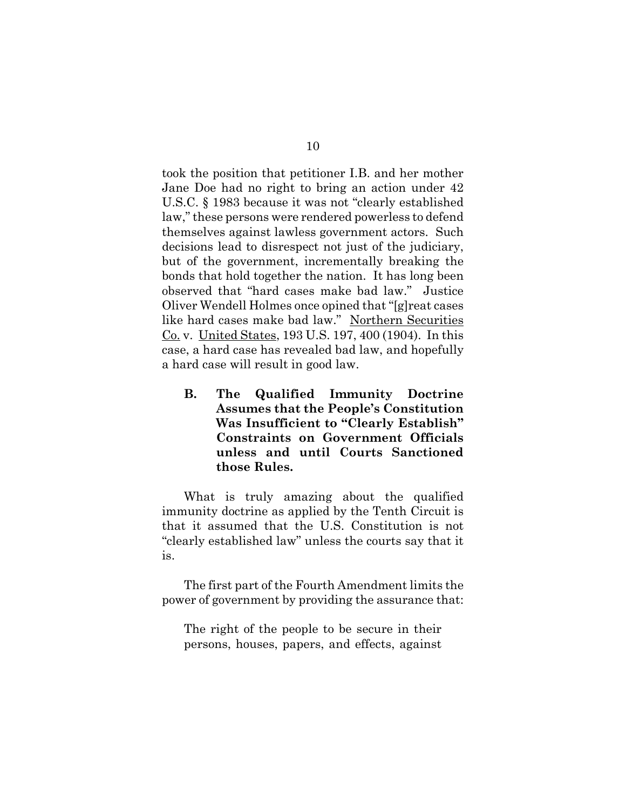took the position that petitioner I.B. and her mother Jane Doe had no right to bring an action under 42 U.S.C. § 1983 because it was not "clearly established law," these persons were rendered powerless to defend themselves against lawless government actors. Such decisions lead to disrespect not just of the judiciary, but of the government, incrementally breaking the bonds that hold together the nation. It has long been observed that "hard cases make bad law." Justice Oliver Wendell Holmes once opined that "[g]reat cases like hard cases make bad law." Northern Securities Co. v. United States, 193 U.S. 197, 400 (1904). In this case, a hard case has revealed bad law, and hopefully a hard case will result in good law.

**B. The Qualified Immunity Doctrine Assumes that the People's Constitution Was Insufficient to "Clearly Establish" Constraints on Government Officials unless and until Courts Sanctioned those Rules.**

What is truly amazing about the qualified immunity doctrine as applied by the Tenth Circuit is that it assumed that the U.S. Constitution is not "clearly established law" unless the courts say that it is.

The first part of the Fourth Amendment limits the power of government by providing the assurance that:

The right of the people to be secure in their persons, houses, papers, and effects, against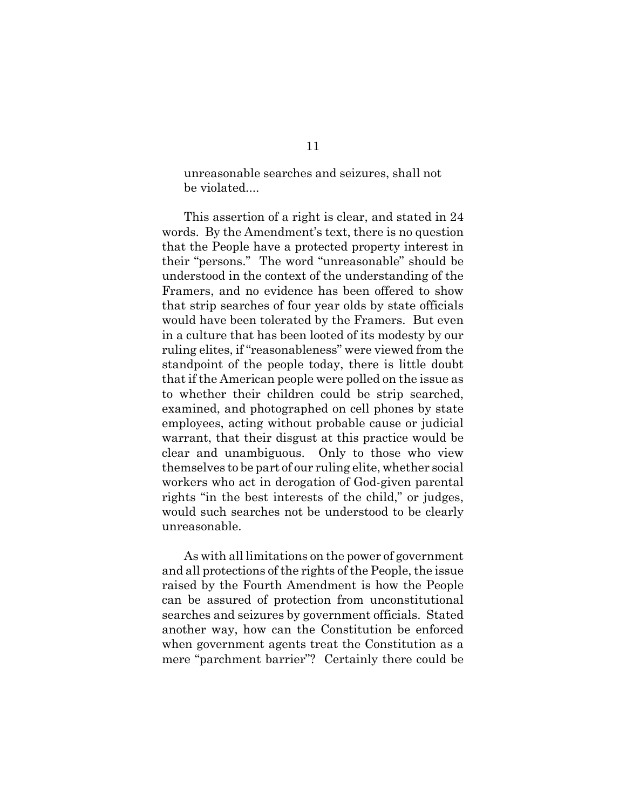unreasonable searches and seizures, shall not be violated....

This assertion of a right is clear, and stated in 24 words. By the Amendment's text, there is no question that the People have a protected property interest in their "persons." The word "unreasonable" should be understood in the context of the understanding of the Framers, and no evidence has been offered to show that strip searches of four year olds by state officials would have been tolerated by the Framers. But even in a culture that has been looted of its modesty by our ruling elites, if "reasonableness" were viewed from the standpoint of the people today, there is little doubt that if the American people were polled on the issue as to whether their children could be strip searched, examined, and photographed on cell phones by state employees, acting without probable cause or judicial warrant, that their disgust at this practice would be clear and unambiguous. Only to those who view themselves to be part of our ruling elite, whether social workers who act in derogation of God-given parental rights "in the best interests of the child," or judges, would such searches not be understood to be clearly unreasonable.

As with all limitations on the power of government and all protections of the rights of the People, the issue raised by the Fourth Amendment is how the People can be assured of protection from unconstitutional searches and seizures by government officials. Stated another way, how can the Constitution be enforced when government agents treat the Constitution as a mere "parchment barrier"? Certainly there could be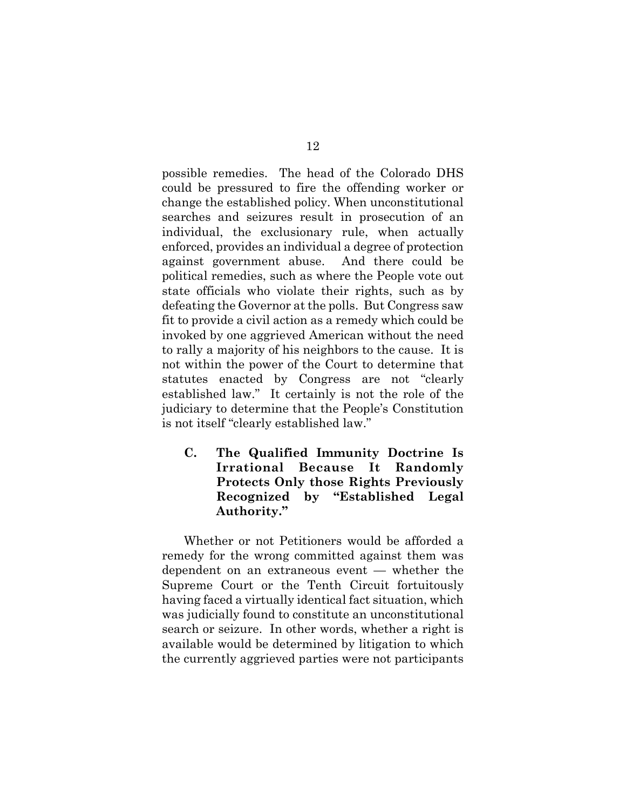possible remedies. The head of the Colorado DHS could be pressured to fire the offending worker or change the established policy. When unconstitutional searches and seizures result in prosecution of an individual, the exclusionary rule, when actually enforced, provides an individual a degree of protection against government abuse. And there could be political remedies, such as where the People vote out state officials who violate their rights, such as by defeating the Governor at the polls. But Congress saw fit to provide a civil action as a remedy which could be invoked by one aggrieved American without the need to rally a majority of his neighbors to the cause. It is not within the power of the Court to determine that statutes enacted by Congress are not "clearly established law." It certainly is not the role of the judiciary to determine that the People's Constitution is not itself "clearly established law."

**C. The Qualified Immunity Doctrine Is Irrational Because It Randomly Protects Only those Rights Previously Recognized by "Established Legal Authority."** 

Whether or not Petitioners would be afforded a remedy for the wrong committed against them was dependent on an extraneous event — whether the Supreme Court or the Tenth Circuit fortuitously having faced a virtually identical fact situation, which was judicially found to constitute an unconstitutional search or seizure. In other words, whether a right is available would be determined by litigation to which the currently aggrieved parties were not participants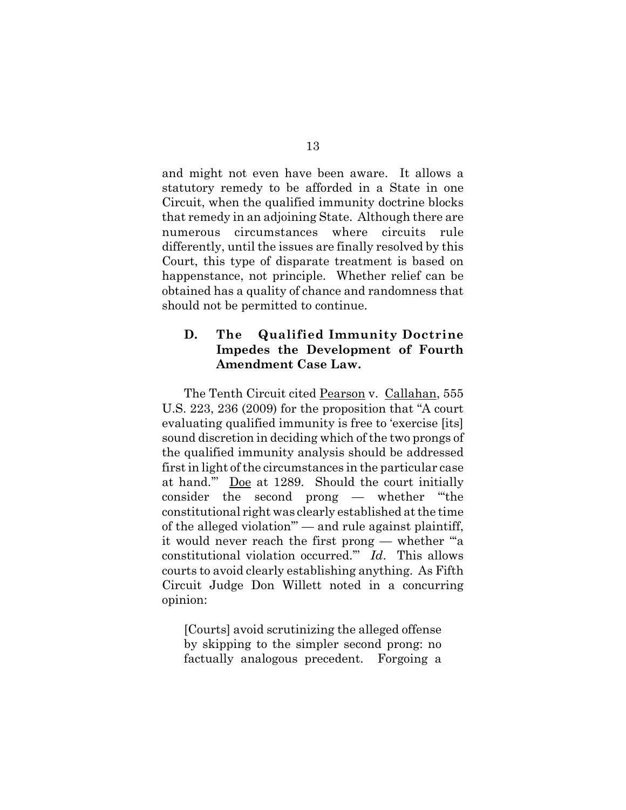and might not even have been aware. It allows a statutory remedy to be afforded in a State in one Circuit, when the qualified immunity doctrine blocks that remedy in an adjoining State. Although there are numerous circumstances where circuits rule differently, until the issues are finally resolved by this Court, this type of disparate treatment is based on happenstance, not principle. Whether relief can be obtained has a quality of chance and randomness that should not be permitted to continue.

## **D. The Qualified Immunity Doctrine Impedes the Development of Fourth Amendment Case Law.**

The Tenth Circuit cited Pearson v. Callahan, 555 U.S. 223, 236 (2009) for the proposition that "A court evaluating qualified immunity is free to 'exercise [its] sound discretion in deciding which of the two prongs of the qualified immunity analysis should be addressed first in light of the circumstances in the particular case at hand.'" Doe at 1289. Should the court initially consider the second prong — whether "'the constitutional right was clearly established at the time of the alleged violation'" — and rule against plaintiff, it would never reach the first prong — whether "'a constitutional violation occurred.'" *Id*. This allows courts to avoid clearly establishing anything. As Fifth Circuit Judge Don Willett noted in a concurring opinion:

[Courts] avoid scrutinizing the alleged offense by skipping to the simpler second prong: no factually analogous precedent. Forgoing a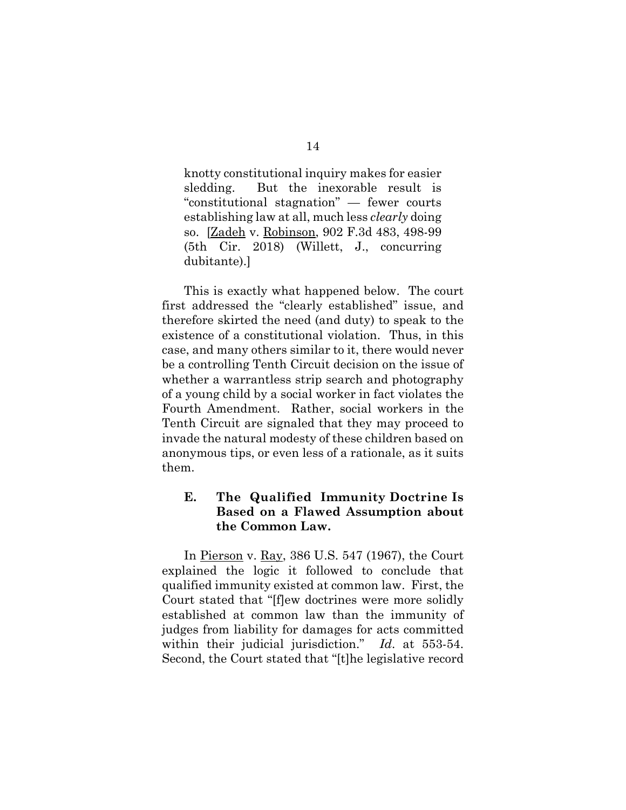knotty constitutional inquiry makes for easier sledding. But the inexorable result is "constitutional stagnation" — fewer courts establishing law at all, much less *clearly* doing so. [Zadeh v. Robinson, 902 F.3d 483, 498-99 (5th Cir. 2018) (Willett, J., concurring dubitante).]

This is exactly what happened below. The court first addressed the "clearly established" issue, and therefore skirted the need (and duty) to speak to the existence of a constitutional violation. Thus, in this case, and many others similar to it, there would never be a controlling Tenth Circuit decision on the issue of whether a warrantless strip search and photography of a young child by a social worker in fact violates the Fourth Amendment. Rather, social workers in the Tenth Circuit are signaled that they may proceed to invade the natural modesty of these children based on anonymous tips, or even less of a rationale, as it suits them.

## **E. The Qualified Immunity Doctrine Is Based on a Flawed Assumption about the Common Law.**

In Pierson v. Ray, 386 U.S. 547 (1967), the Court explained the logic it followed to conclude that qualified immunity existed at common law. First, the Court stated that "[f]ew doctrines were more solidly established at common law than the immunity of judges from liability for damages for acts committed within their judicial jurisdiction." *Id*. at 553-54. Second, the Court stated that "[t]he legislative record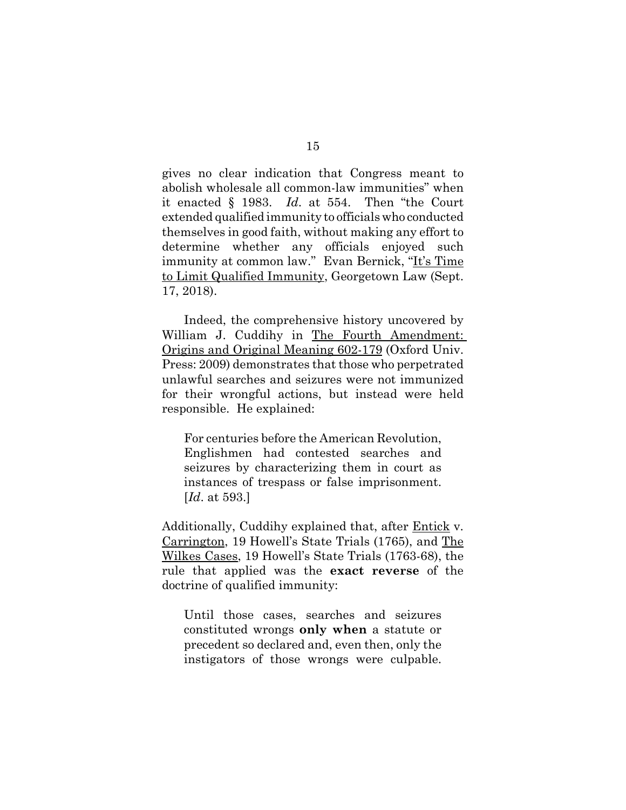gives no clear indication that Congress meant to abolish wholesale all common-law immunities" when it enacted § 1983. *Id*. at 554. Then "the Court extended qualified immunity to officials who conducted themselves in good faith, without making any effort to determine whether any officials enjoyed such immunity at common law." Evan Bernick, "It's Time to Limit Qualified Immunity, Georgetown Law (Sept. 17, 2018).

Indeed, the comprehensive history uncovered by William J. Cuddihy in The Fourth Amendment: Origins and Original Meaning 602-179 (Oxford Univ. Press: 2009) demonstrates that those who perpetrated unlawful searches and seizures were not immunized for their wrongful actions, but instead were held responsible. He explained:

For centuries before the American Revolution, Englishmen had contested searches and seizures by characterizing them in court as instances of trespass or false imprisonment. [*Id*. at 593.]

Additionally, Cuddihy explained that, after Entick v. Carrington, 19 Howell's State Trials (1765), and The Wilkes Cases, 19 Howell's State Trials (1763-68), the rule that applied was the **exact reverse** of the doctrine of qualified immunity:

Until those cases, searches and seizures constituted wrongs **only when** a statute or precedent so declared and, even then, only the instigators of those wrongs were culpable.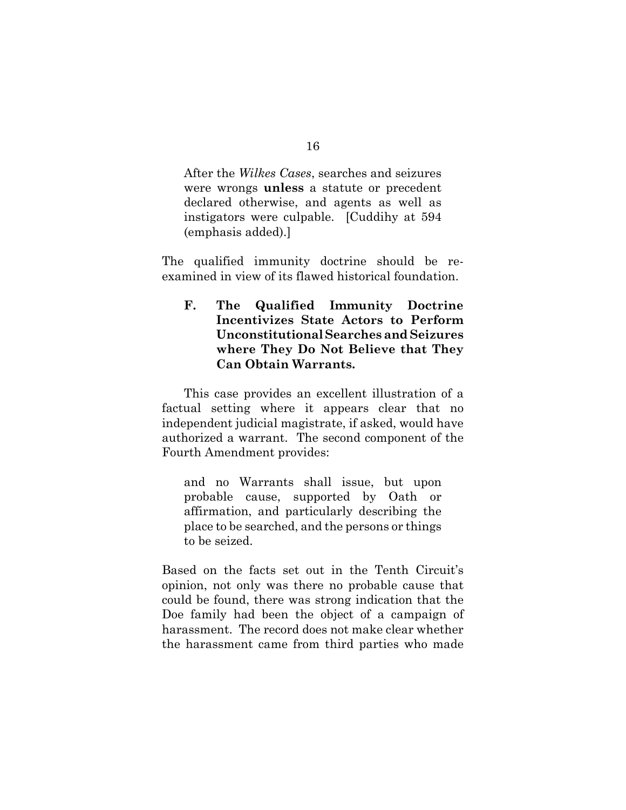After the *Wilkes Cases*, searches and seizures were wrongs **unless** a statute or precedent declared otherwise, and agents as well as instigators were culpable. [Cuddihy at 594 (emphasis added).]

The qualified immunity doctrine should be reexamined in view of its flawed historical foundation.

**F. The Qualified Immunity Doctrine Incentivizes State Actors to Perform Unconstitutional Searches and Seizures where They Do Not Believe that They Can Obtain Warrants.**

This case provides an excellent illustration of a factual setting where it appears clear that no independent judicial magistrate, if asked, would have authorized a warrant. The second component of the Fourth Amendment provides:

and no Warrants shall issue, but upon probable cause, supported by Oath or affirmation, and particularly describing the place to be searched, and the persons or things to be seized.

Based on the facts set out in the Tenth Circuit's opinion, not only was there no probable cause that could be found, there was strong indication that the Doe family had been the object of a campaign of harassment. The record does not make clear whether the harassment came from third parties who made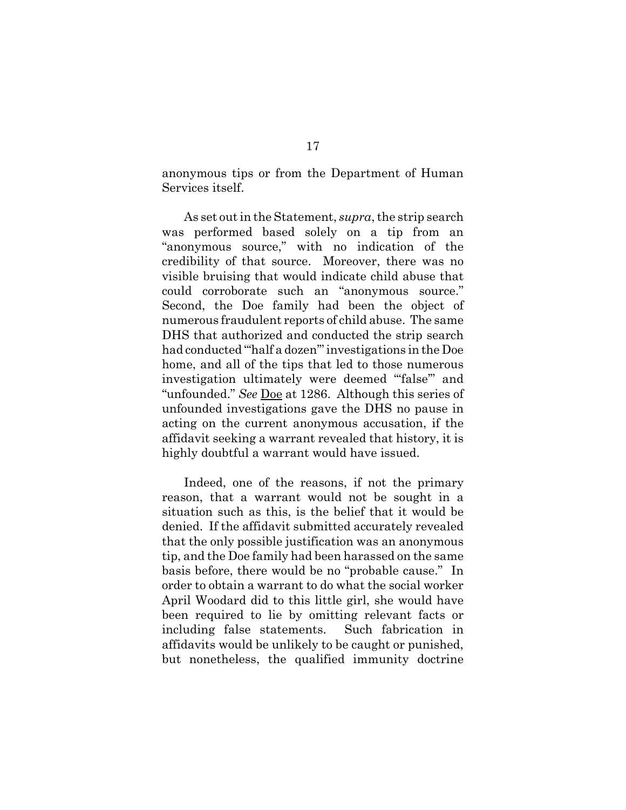anonymous tips or from the Department of Human Services itself.

As set out in the Statement, *supra*, the strip search was performed based solely on a tip from an "anonymous source," with no indication of the credibility of that source. Moreover, there was no visible bruising that would indicate child abuse that could corroborate such an "anonymous source." Second, the Doe family had been the object of numerous fraudulent reports of child abuse. The same DHS that authorized and conducted the strip search had conducted "'half a dozen'" investigations in the Doe home, and all of the tips that led to those numerous investigation ultimately were deemed "false" and "unfounded." *See* Doe at 1286. Although this series of unfounded investigations gave the DHS no pause in acting on the current anonymous accusation, if the affidavit seeking a warrant revealed that history, it is highly doubtful a warrant would have issued.

Indeed, one of the reasons, if not the primary reason, that a warrant would not be sought in a situation such as this, is the belief that it would be denied. If the affidavit submitted accurately revealed that the only possible justification was an anonymous tip, and the Doe family had been harassed on the same basis before, there would be no "probable cause." In order to obtain a warrant to do what the social worker April Woodard did to this little girl, she would have been required to lie by omitting relevant facts or including false statements. Such fabrication in affidavits would be unlikely to be caught or punished, but nonetheless, the qualified immunity doctrine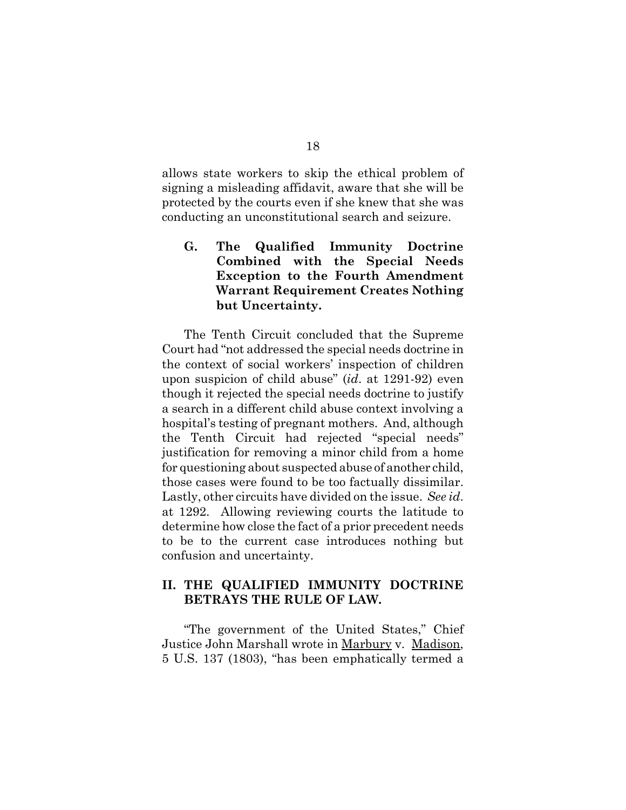allows state workers to skip the ethical problem of signing a misleading affidavit, aware that she will be protected by the courts even if she knew that she was conducting an unconstitutional search and seizure.

**G. The Qualified Immunity Doctrine Combined with the Special Needs Exception to the Fourth Amendment Warrant Requirement Creates Nothing but Uncertainty.**

The Tenth Circuit concluded that the Supreme Court had "not addressed the special needs doctrine in the context of social workers' inspection of children upon suspicion of child abuse" (*id*. at 1291-92) even though it rejected the special needs doctrine to justify a search in a different child abuse context involving a hospital's testing of pregnant mothers. And, although the Tenth Circuit had rejected "special needs" justification for removing a minor child from a home for questioning about suspected abuse of another child, those cases were found to be too factually dissimilar. Lastly, other circuits have divided on the issue. *See id*. at 1292. Allowing reviewing courts the latitude to determine how close the fact of a prior precedent needs to be to the current case introduces nothing but confusion and uncertainty.

## **II. THE QUALIFIED IMMUNITY DOCTRINE BETRAYS THE RULE OF LAW.**

"The government of the United States," Chief Justice John Marshall wrote in Marbury v. Madison, 5 U.S. 137 (1803), "has been emphatically termed a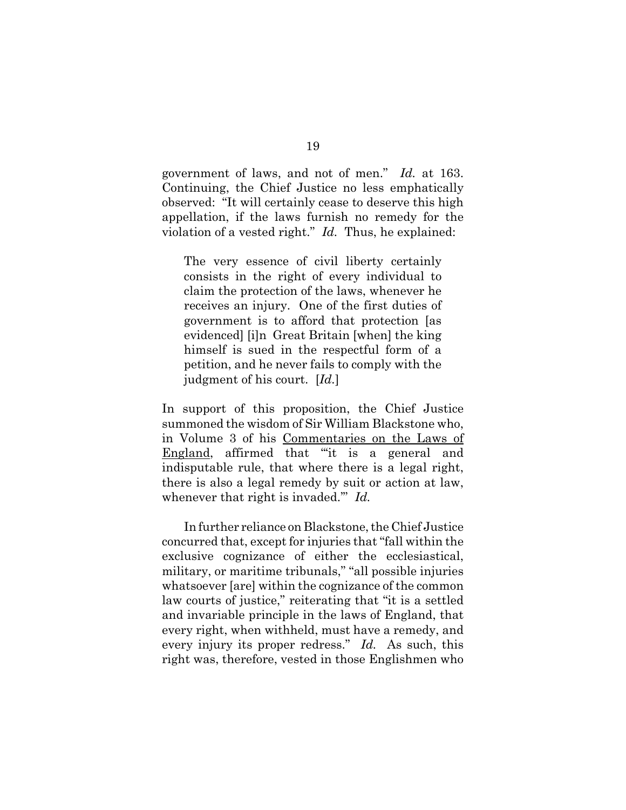government of laws, and not of men." *Id.* at 163. Continuing, the Chief Justice no less emphatically observed: "It will certainly cease to deserve this high appellation, if the laws furnish no remedy for the violation of a vested right." *Id.* Thus, he explained:

The very essence of civil liberty certainly consists in the right of every individual to claim the protection of the laws, whenever he receives an injury. One of the first duties of government is to afford that protection [as evidenced] [i]n Great Britain [when] the king himself is sued in the respectful form of a petition, and he never fails to comply with the judgment of his court. [*Id.*]

In support of this proposition, the Chief Justice summoned the wisdom of Sir William Blackstone who, in Volume 3 of his Commentaries on the Laws of England, affirmed that "'it is a general and indisputable rule, that where there is a legal right, there is also a legal remedy by suit or action at law, whenever that right is invaded." *Id.* 

In further reliance on Blackstone, the Chief Justice concurred that, except for injuries that "fall within the exclusive cognizance of either the ecclesiastical, military, or maritime tribunals," "all possible injuries whatsoever [are] within the cognizance of the common law courts of justice," reiterating that "it is a settled and invariable principle in the laws of England, that every right, when withheld, must have a remedy, and every injury its proper redress." *Id.* As such, this right was, therefore, vested in those Englishmen who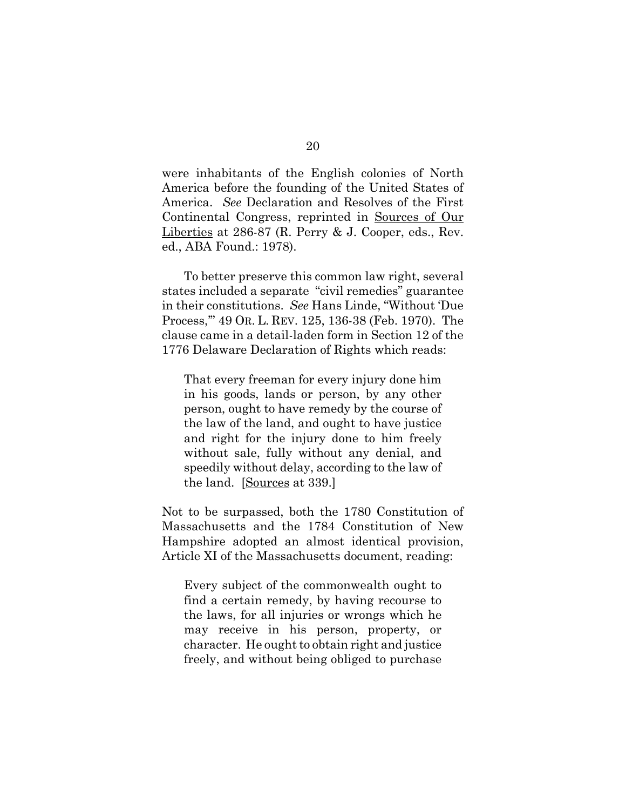were inhabitants of the English colonies of North America before the founding of the United States of America. *See* Declaration and Resolves of the First Continental Congress, reprinted in Sources of Our Liberties at 286-87 (R. Perry & J. Cooper, eds., Rev. ed., ABA Found.: 1978).

To better preserve this common law right, several states included a separate "civil remedies" guarantee in their constitutions. *See* Hans Linde, "Without 'Due Process,'" 49 OR. L. REV. 125, 136-38 (Feb. 1970). The clause came in a detail-laden form in Section 12 of the 1776 Delaware Declaration of Rights which reads:

That every freeman for every injury done him in his goods, lands or person, by any other person, ought to have remedy by the course of the law of the land, and ought to have justice and right for the injury done to him freely without sale, fully without any denial, and speedily without delay, according to the law of the land. [Sources at 339.]

Not to be surpassed, both the 1780 Constitution of Massachusetts and the 1784 Constitution of New Hampshire adopted an almost identical provision, Article XI of the Massachusetts document, reading:

Every subject of the commonwealth ought to find a certain remedy, by having recourse to the laws, for all injuries or wrongs which he may receive in his person, property, or character. He ought to obtain right and justice freely, and without being obliged to purchase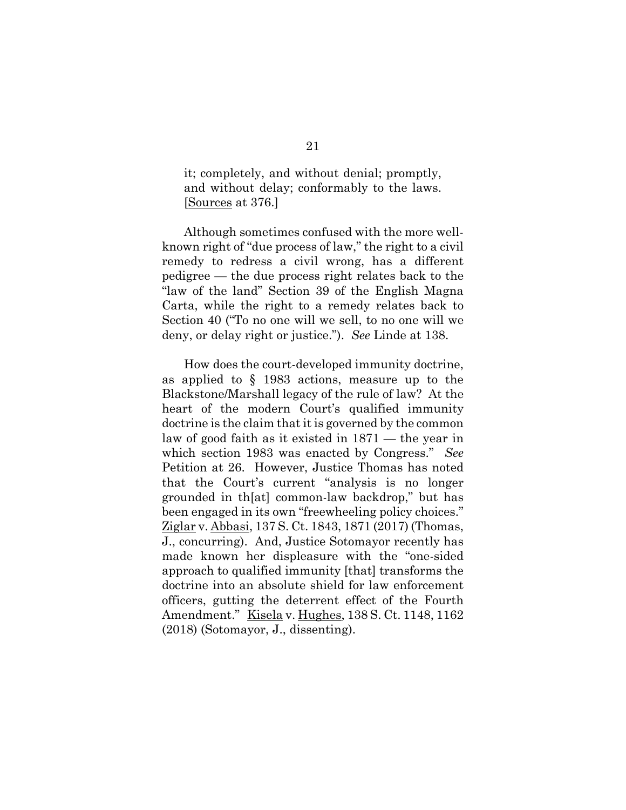it; completely, and without denial; promptly, and without delay; conformably to the laws. [Sources at 376.]

Although sometimes confused with the more wellknown right of "due process of law," the right to a civil remedy to redress a civil wrong, has a different pedigree — the due process right relates back to the "law of the land" Section 39 of the English Magna Carta, while the right to a remedy relates back to Section 40 ("To no one will we sell, to no one will we deny, or delay right or justice."). *See* Linde at 138.

How does the court-developed immunity doctrine, as applied to § 1983 actions, measure up to the Blackstone/Marshall legacy of the rule of law? At the heart of the modern Court's qualified immunity doctrine is the claim that it is governed by the common law of good faith as it existed in 1871 — the year in which section 1983 was enacted by Congress." *See* Petition at 26. However, Justice Thomas has noted that the Court's current "analysis is no longer grounded in th[at] common-law backdrop," but has been engaged in its own "freewheeling policy choices." Ziglar v. Abbasi, 137 S. Ct. 1843, 1871 (2017) (Thomas, J., concurring). And, Justice Sotomayor recently has made known her displeasure with the "one-sided approach to qualified immunity [that] transforms the doctrine into an absolute shield for law enforcement officers, gutting the deterrent effect of the Fourth Amendment." Kisela v. Hughes, 138 S. Ct. 1148, 1162 (2018) (Sotomayor, J., dissenting).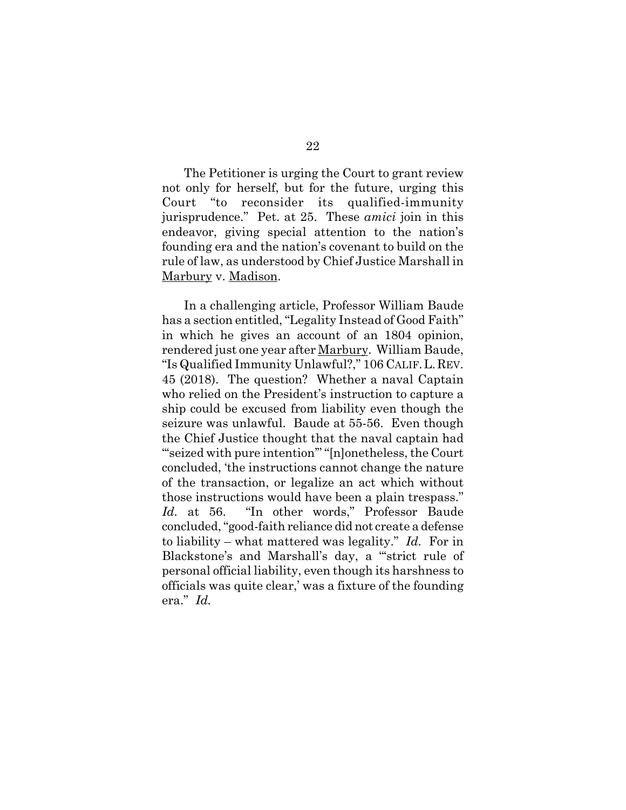The Petitioner is urging the Court to grant review not only for herself, but for the future, urging this Court "to reconsider its qualified-immunity jurisprudence." Pet. at 25. These *amici* join in this endeavor, giving special attention to the nation's founding era and the nation's covenant to build on the rule of law, as understood by Chief Justice Marshall in Marbury v. Madison.

In a challenging article, Professor William Baude has a section entitled, "Legality Instead of Good Faith" in which he gives an account of an 1804 opinion, rendered just one year after Marbury. William Baude, "Is Qualified Immunity Unlawful?," 106 CALIF.L.REV. 45 (2018). The question? Whether a naval Captain who relied on the President's instruction to capture a ship could be excused from liability even though the seizure was unlawful. Baude at 55-56. Even though the Chief Justice thought that the naval captain had "'seized with pure intention'" "[n]onetheless, the Court concluded, 'the instructions cannot change the nature of the transaction, or legalize an act which without those instructions would have been a plain trespass." Id. at 56. "In other words," Professor Baude concluded, "good-faith reliance did not create a defense to liability – what mattered was legality." *Id.* For in Blackstone's and Marshall's day, a "'strict rule of personal official liability, even though its harshness to officials was quite clear,' was a fixture of the founding era." *Id.*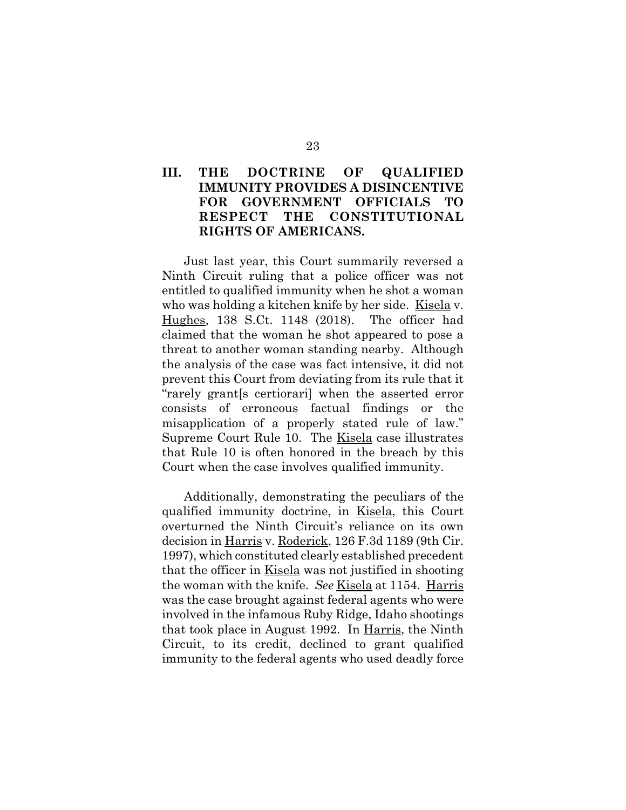## **III. THE DOCTRINE OF QUALIFIED IMMUNITY PROVIDES A DISINCENTIVE FOR GOVERNMENT OFFICIALS TO RESPECT THE CONSTITUTIONAL RIGHTS OF AMERICANS.**

Just last year, this Court summarily reversed a Ninth Circuit ruling that a police officer was not entitled to qualified immunity when he shot a woman who was holding a kitchen knife by her side. Kisela v. Hughes, 138 S.Ct. 1148 (2018). The officer had claimed that the woman he shot appeared to pose a threat to another woman standing nearby. Although the analysis of the case was fact intensive, it did not prevent this Court from deviating from its rule that it "rarely grant[s certiorari] when the asserted error consists of erroneous factual findings or the misapplication of a properly stated rule of law." Supreme Court Rule 10. The Kisela case illustrates that Rule 10 is often honored in the breach by this Court when the case involves qualified immunity.

Additionally, demonstrating the peculiars of the qualified immunity doctrine, in Kisela, this Court overturned the Ninth Circuit's reliance on its own decision in Harris v. Roderick, 126 F.3d 1189 (9th Cir. 1997), which constituted clearly established precedent that the officer in <u>Kisela</u> was not justified in shooting the woman with the knife. *See* Kisela at 1154. Harris was the case brought against federal agents who were involved in the infamous Ruby Ridge, Idaho shootings that took place in August 1992. In Harris, the Ninth Circuit, to its credit, declined to grant qualified immunity to the federal agents who used deadly force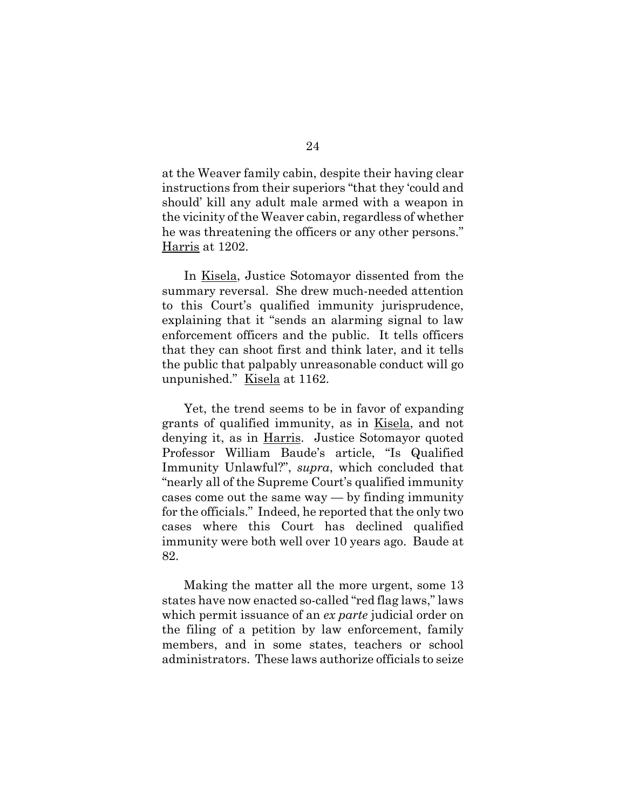at the Weaver family cabin, despite their having clear instructions from their superiors "that they 'could and should' kill any adult male armed with a weapon in the vicinity of the Weaver cabin, regardless of whether he was threatening the officers or any other persons." Harris at 1202.

In Kisela, Justice Sotomayor dissented from the summary reversal. She drew much-needed attention to this Court's qualified immunity jurisprudence, explaining that it "sends an alarming signal to law enforcement officers and the public. It tells officers that they can shoot first and think later, and it tells the public that palpably unreasonable conduct will go unpunished." Kisela at 1162.

Yet, the trend seems to be in favor of expanding grants of qualified immunity, as in Kisela, and not denying it, as in Harris. Justice Sotomayor quoted Professor William Baude's article, "Is Qualified Immunity Unlawful?", *supra*, which concluded that "nearly all of the Supreme Court's qualified immunity cases come out the same way  $-$  by finding immunity for the officials." Indeed, he reported that the only two cases where this Court has declined qualified immunity were both well over 10 years ago. Baude at 82.

Making the matter all the more urgent, some 13 states have now enacted so-called "red flag laws," laws which permit issuance of an *ex parte* judicial order on the filing of a petition by law enforcement, family members, and in some states, teachers or school administrators. These laws authorize officials to seize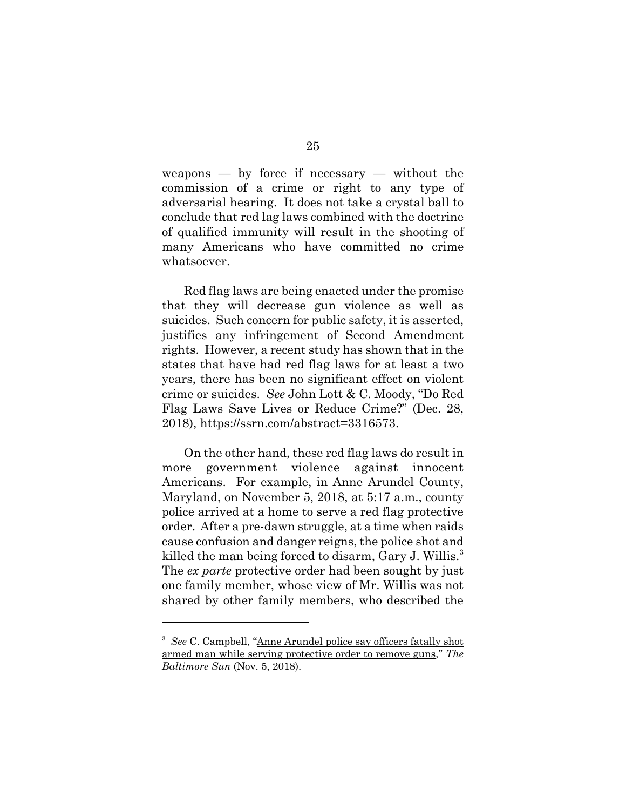weapons — by force if necessary — without the commission of a crime or right to any type of adversarial hearing. It does not take a crystal ball to conclude that red lag laws combined with the doctrine of qualified immunity will result in the shooting of many Americans who have committed no crime whatsoever.

Red flag laws are being enacted under the promise that they will decrease gun violence as well as suicides. Such concern for public safety, it is asserted, justifies any infringement of Second Amendment rights. However, a recent study has shown that in the states that have had red flag laws for at least a two years, there has been no significant effect on violent crime or suicides. *See* John Lott & C. Moody, "Do Red Flag Laws Save Lives or Reduce Crime?" (Dec. 28, 2018), https://ssrn.com/abstract=3316573.

On the other hand, these red flag laws do result in more government violence against innocent Americans. For example, in Anne Arundel County, Maryland, on November 5, 2018, at 5:17 a.m., county police arrived at a home to serve a red flag protective order. After a pre-dawn struggle, at a time when raids cause confusion and danger reigns, the police shot and killed the man being forced to disarm, Gary J. Willis.<sup>3</sup> The *ex parte* protective order had been sought by just one family member, whose view of Mr. Willis was not shared by other family members, who described the

<sup>&</sup>lt;sup>3</sup> See C. Campbell, "Anne Arundel police say officers fatally shot armed man while serving protective order to remove guns," *The Baltimore Sun* (Nov. 5, 2018).